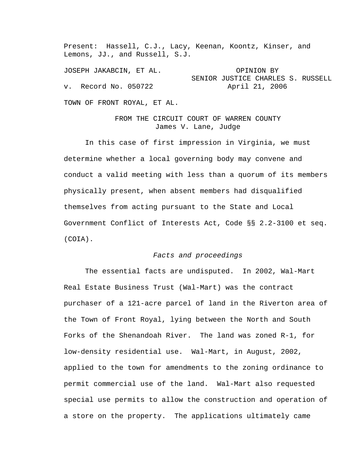Present: Hassell, C.J., Lacy, Keenan, Koontz, Kinser, and Lemons, JJ., and Russell, S.J.

JOSEPH JAKABCIN, ET AL. OPINION BY SENIOR JUSTICE CHARLES S. RUSSELL v. Record No. 050722 April 21, 2006

TOWN OF FRONT ROYAL, ET AL.

FROM THE CIRCUIT COURT OF WARREN COUNTY James V. Lane, Judge

 In this case of first impression in Virginia, we must determine whether a local governing body may convene and conduct a valid meeting with less than a quorum of its members physically present, when absent members had disqualified themselves from acting pursuant to the State and Local Government Conflict of Interests Act, Code §§ 2.2-3100 et seq. (COIA).

## *Facts and proceedings*

 The essential facts are undisputed. In 2002, Wal-Mart Real Estate Business Trust (Wal-Mart) was the contract purchaser of a 121-acre parcel of land in the Riverton area of the Town of Front Royal, lying between the North and South Forks of the Shenandoah River. The land was zoned R-1, for low-density residential use. Wal-Mart, in August, 2002, applied to the town for amendments to the zoning ordinance to permit commercial use of the land. Wal-Mart also requested special use permits to allow the construction and operation of a store on the property. The applications ultimately came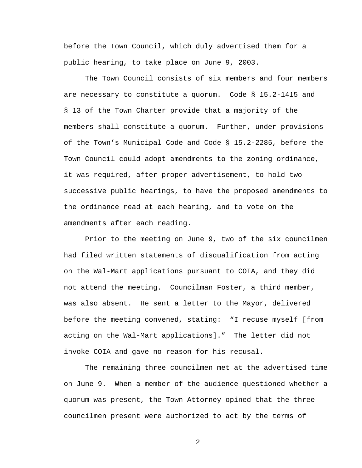before the Town Council, which duly advertised them for a public hearing, to take place on June 9, 2003.

 The Town Council consists of six members and four members are necessary to constitute a quorum. Code § 15.2-1415 and § 13 of the Town Charter provide that a majority of the members shall constitute a quorum. Further, under provisions of the Town's Municipal Code and Code § 15.2-2285, before the Town Council could adopt amendments to the zoning ordinance, it was required, after proper advertisement, to hold two successive public hearings, to have the proposed amendments to the ordinance read at each hearing, and to vote on the amendments after each reading.

 Prior to the meeting on June 9, two of the six councilmen had filed written statements of disqualification from acting on the Wal-Mart applications pursuant to COIA, and they did not attend the meeting. Councilman Foster, a third member, was also absent. He sent a letter to the Mayor, delivered before the meeting convened, stating: "I recuse myself [from acting on the Wal-Mart applications]." The letter did not invoke COIA and gave no reason for his recusal.

 The remaining three councilmen met at the advertised time on June 9. When a member of the audience questioned whether a quorum was present, the Town Attorney opined that the three councilmen present were authorized to act by the terms of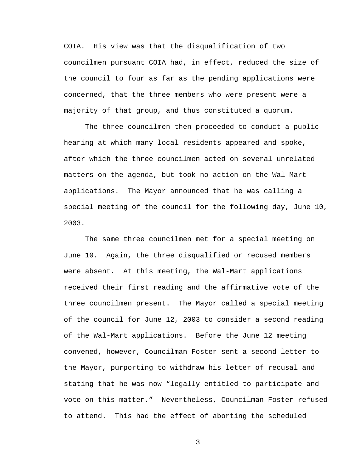COIA. His view was that the disqualification of two councilmen pursuant COIA had, in effect, reduced the size of the council to four as far as the pending applications were concerned, that the three members who were present were a majority of that group, and thus constituted a quorum.

 The three councilmen then proceeded to conduct a public hearing at which many local residents appeared and spoke, after which the three councilmen acted on several unrelated matters on the agenda, but took no action on the Wal-Mart applications. The Mayor announced that he was calling a special meeting of the council for the following day, June 10, 2003.

 The same three councilmen met for a special meeting on June 10. Again, the three disqualified or recused members were absent. At this meeting, the Wal-Mart applications received their first reading and the affirmative vote of the three councilmen present. The Mayor called a special meeting of the council for June 12, 2003 to consider a second reading of the Wal-Mart applications. Before the June 12 meeting convened, however, Councilman Foster sent a second letter to the Mayor, purporting to withdraw his letter of recusal and stating that he was now "legally entitled to participate and vote on this matter." Nevertheless, Councilman Foster refused to attend. This had the effect of aborting the scheduled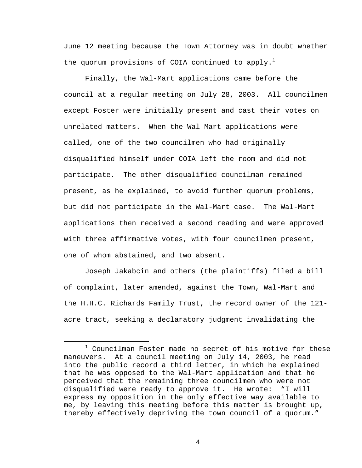June 12 meeting because the Town Attorney was in doubt whether the quorum provisions of COIA continued to apply.<sup>1</sup>

 Finally, the Wal-Mart applications came before the council at a regular meeting on July 28, 2003. All councilmen except Foster were initially present and cast their votes on unrelated matters. When the Wal-Mart applications were called, one of the two councilmen who had originally disqualified himself under COIA left the room and did not participate. The other disqualified councilman remained present, as he explained, to avoid further quorum problems, but did not participate in the Wal-Mart case. The Wal-Mart applications then received a second reading and were approved with three affirmative votes, with four councilmen present, one of whom abstained, and two absent.

 Joseph Jakabcin and others (the plaintiffs) filed a bill of complaint, later amended, against the Town, Wal-Mart and the H.H.C. Richards Family Trust, the record owner of the 121 acre tract, seeking a declaratory judgment invalidating the

 $\overline{\phantom{a}}$  $1$  Councilman Foster made no secret of his motive for these maneuvers. At a council meeting on July 14, 2003, he read into the public record a third letter, in which he explained that he was opposed to the Wal-Mart application and that he perceived that the remaining three councilmen who were not disqualified were ready to approve it. He wrote: "I will express my opposition in the only effective way available to me, by leaving this meeting before this matter is brought up, thereby effectively depriving the town council of a quorum."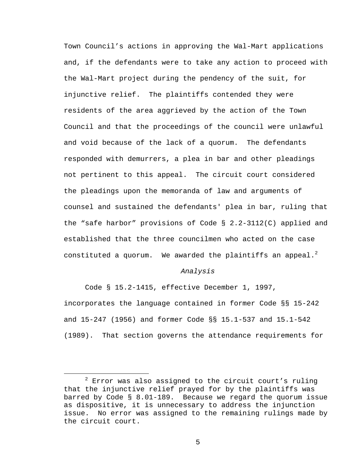Town Council's actions in approving the Wal-Mart applications and, if the defendants were to take any action to proceed with the Wal-Mart project during the pendency of the suit, for injunctive relief. The plaintiffs contended they were residents of the area aggrieved by the action of the Town Council and that the proceedings of the council were unlawful and void because of the lack of a quorum. The defendants responded with demurrers, a plea in bar and other pleadings not pertinent to this appeal. The circuit court considered the pleadings upon the memoranda of law and arguments of counsel and sustained the defendants' plea in bar, ruling that the "safe harbor" provisions of Code § 2.2-3112(C) applied and established that the three councilmen who acted on the case constituted a quorum. We awarded the plaintiffs an appeal.<sup>2</sup>

## *Analysis*

 Code § 15.2-1415, effective December 1, 1997, incorporates the language contained in former Code §§ 15-242 and 15-247 (1956) and former Code §§ 15.1-537 and 15.1-542 (1989). That section governs the attendance requirements for

 <sup>2</sup>  $2$  Error was also assigned to the circuit court's ruling that the injunctive relief prayed for by the plaintiffs was barred by Code § 8.01-189. Because we regard the quorum issue as dispositive, it is unnecessary to address the injunction issue. No error was assigned to the remaining rulings made by the circuit court.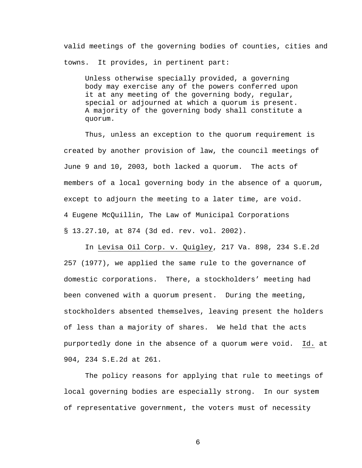valid meetings of the governing bodies of counties, cities and towns. It provides, in pertinent part:

Unless otherwise specially provided, a governing body may exercise any of the powers conferred upon it at any meeting of the governing body, regular, special or adjourned at which a quorum is present. A majority of the governing body shall constitute a quorum.

Thus, unless an exception to the quorum requirement is created by another provision of law, the council meetings of June 9 and 10, 2003, both lacked a quorum. The acts of members of a local governing body in the absence of a quorum, except to adjourn the meeting to a later time, are void. 4 Eugene McQuillin, The Law of Municipal Corporations § 13.27.10, at 874 (3d ed. rev. vol. 2002).

In Levisa Oil Corp. v. Quigley, 217 Va. 898, 234 S.E.2d 257 (1977), we applied the same rule to the governance of domestic corporations. There, a stockholders' meeting had been convened with a quorum present. During the meeting, stockholders absented themselves, leaving present the holders of less than a majority of shares. We held that the acts purportedly done in the absence of a quorum were void. Id. at 904, 234 S.E.2d at 261.

The policy reasons for applying that rule to meetings of local governing bodies are especially strong. In our system of representative government, the voters must of necessity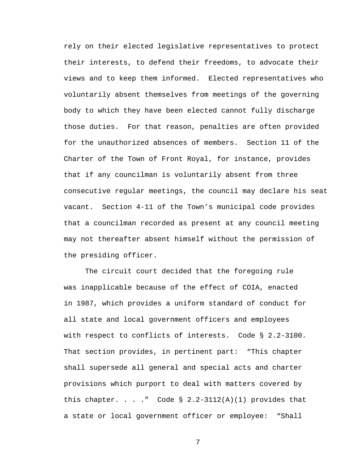rely on their elected legislative representatives to protect their interests, to defend their freedoms, to advocate their views and to keep them informed. Elected representatives who voluntarily absent themselves from meetings of the governing body to which they have been elected cannot fully discharge those duties. For that reason, penalties are often provided for the unauthorized absences of members. Section 11 of the Charter of the Town of Front Royal, for instance, provides that if any councilman is voluntarily absent from three consecutive regular meetings, the council may declare his seat vacant. Section 4-11 of the Town's municipal code provides that a councilman recorded as present at any council meeting may not thereafter absent himself without the permission of the presiding officer.

The circuit court decided that the foregoing rule was inapplicable because of the effect of COIA, enacted in 1987, which provides a uniform standard of conduct for all state and local government officers and employees with respect to conflicts of interests. Code § 2.2-3100. That section provides, in pertinent part: "This chapter shall supersede all general and special acts and charter provisions which purport to deal with matters covered by this chapter. . . ." Code  $\S$  2.2-3112(A)(1) provides that a state or local government officer or employee: "Shall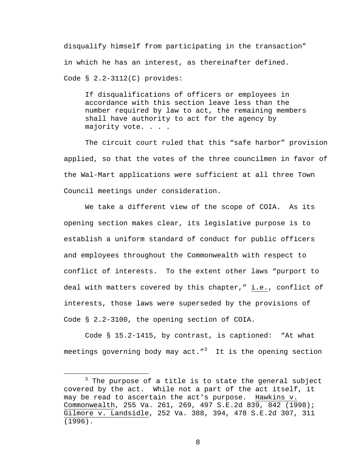disqualify himself from participating in the transaction" in which he has an interest, as thereinafter defined. Code § 2.2-3112(C) provides:

If disqualifications of officers or employees in accordance with this section leave less than the number required by law to act, the remaining members shall have authority to act for the agency by majority vote. . . .

 The circuit court ruled that this "safe harbor" provision applied, so that the votes of the three councilmen in favor of the Wal-Mart applications were sufficient at all three Town Council meetings under consideration.

 We take a different view of the scope of COIA. As its opening section makes clear, its legislative purpose is to establish a uniform standard of conduct for public officers and employees throughout the Commonwealth with respect to conflict of interests. To the extent other laws "purport to deal with matters covered by this chapter," i.e., conflict of interests, those laws were superseded by the provisions of Code § 2.2-3100, the opening section of COIA.

Code § 15.2-1415, by contrast, is captioned: "At what meetings governing body may act."<sup>3</sup> It is the opening section

 $\frac{1}{3}$  $3$  The purpose of a title is to state the general subject covered by the act. While not a part of the act itself, it may be read to ascertain the act's purpose. Hawkins v. Commonwealth, 255 Va. 261, 269, 497 S.E.2d 839, 842 (1998); Gilmore v. Landsidle, 252 Va. 388, 394, 478 S.E.2d 307, 311 (1996).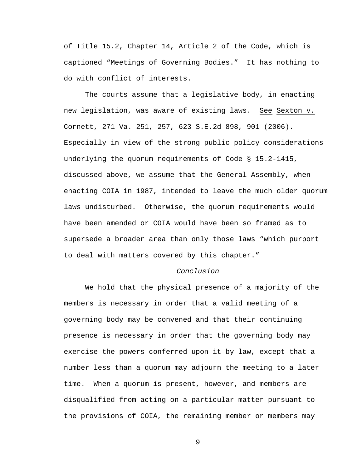of Title 15.2, Chapter 14, Article 2 of the Code, which is captioned "Meetings of Governing Bodies." It has nothing to do with conflict of interests.

 The courts assume that a legislative body, in enacting new legislation, was aware of existing laws. See Sexton v. Cornett, 271 Va. 251, 257, 623 S.E.2d 898, 901 (2006). Especially in view of the strong public policy considerations underlying the quorum requirements of Code § 15.2-1415, discussed above, we assume that the General Assembly, when enacting COIA in 1987, intended to leave the much older quorum laws undisturbed. Otherwise, the quorum requirements would have been amended or COIA would have been so framed as to supersede a broader area than only those laws "which purport to deal with matters covered by this chapter."

## *Conclusion*

We hold that the physical presence of a majority of the members is necessary in order that a valid meeting of a governing body may be convened and that their continuing presence is necessary in order that the governing body may exercise the powers conferred upon it by law, except that a number less than a quorum may adjourn the meeting to a later time. When a quorum is present, however, and members are disqualified from acting on a particular matter pursuant to the provisions of COIA, the remaining member or members may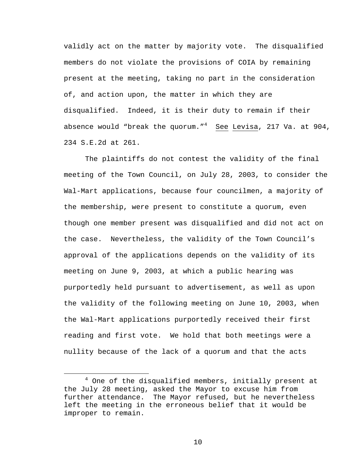validly act on the matter by majority vote. The disqualified members do not violate the provisions of COIA by remaining present at the meeting, taking no part in the consideration of, and action upon, the matter in which they are disqualified. Indeed, it is their duty to remain if their absence would "break the quorum." $^4$  See Levisa, 217 Va. at 904, 234 S.E.2d at 261.

The plaintiffs do not contest the validity of the final meeting of the Town Council, on July 28, 2003, to consider the Wal-Mart applications, because four councilmen, a majority of the membership, were present to constitute a quorum, even though one member present was disqualified and did not act on the case. Nevertheless, the validity of the Town Council's approval of the applications depends on the validity of its meeting on June 9, 2003, at which a public hearing was purportedly held pursuant to advertisement, as well as upon the validity of the following meeting on June 10, 2003, when the Wal-Mart applications purportedly received their first reading and first vote. We hold that both meetings were a nullity because of the lack of a quorum and that the acts

 $\overline{4}$  $4$  One of the disqualified members, initially present at the July 28 meeting, asked the Mayor to excuse him from further attendance. The Mayor refused, but he nevertheless left the meeting in the erroneous belief that it would be improper to remain.